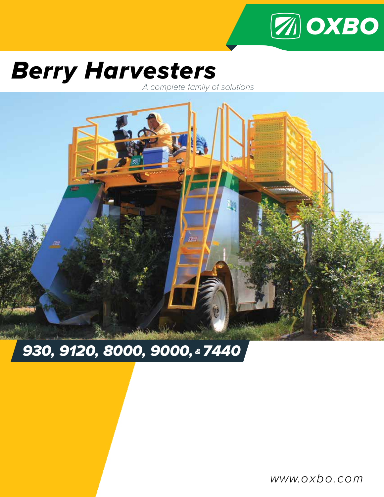

# *Berry Harvesters*

*A complete family of solutions*



## *930, 9120, 8000, 9000, & 7440*

www.oxbo.com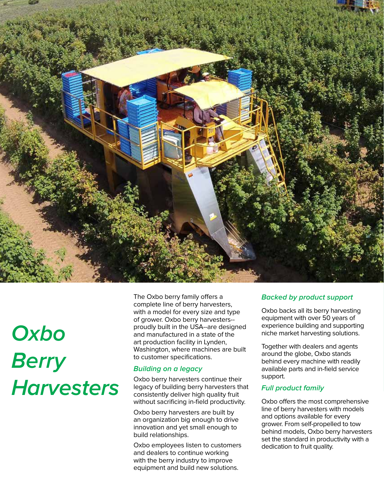

# **Oxbo Berry Harvesters**

The Oxbo berry family offers a complete line of berry harvesters, with a model for every size and type of grower. Oxbo berry harvesters- proudly built in the USA--are designed and manufactured in a state of the art production facility in Lynden, Washington, where machines are built to customer specifications.

#### **Building on a legacy**

Oxbo berry harvesters continue their legacy of building berry harvesters that consistently deliver high quality fruit without sacrificing in-field productivity.

Oxbo berry harvesters are built by an organization big enough to drive innovation and yet small enough to build relationships.

Oxbo employees listen to customers and dealers to continue working with the berry industry to improve equipment and build new solutions.

#### **Backed by product support**

Oxbo backs all its berry harvesting equipment with over 50 years of experience building and supporting niche market harvesting solutions.

Together with dealers and agents around the globe, Oxbo stands behind every machine with readily available parts and in-field service support.

#### **Full product family**

Oxbo offers the most comprehensive line of berry harvesters with models and options available for every grower. From self-propelled to tow behind models, Oxbo berry harvesters set the standard in productivity with a dedication to fruit quality.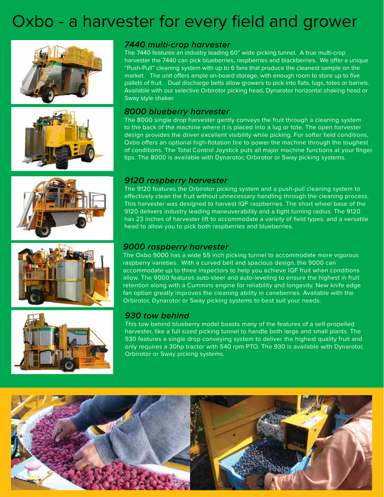### Oxbo - a harvester for every field and grower











#### **7440 multi-crop harvester**

The 7440 features an industry leading 60" wide picking tunnel. A true multi-crop harvester the 7440 can pick blueberries, raspberries and blackberries. We offer a unique "Push-Pull" cleaning system with up to 6 fans that produce the cleanest sample on the market. The unit offers ample on-board storage, with enough room to store up to five pallets of fruit. Dual discharge belts allow growers to pick into flats, lugs, totes or barrels. Available with our selective Orbirotor picking head, Dynarotor horizontal shaking head or Sway style shaker.

#### **8000 blueberry harvester**

The 8000 single drop harvester gently conveys the fruit through a cleaning system to the back of the machine where it is placed into a lug or tote. The open harvester design provides the driver excellent visibility while picking. For softer field conditions, Oxbo offers an optional high-flotation tire to power the machine through the toughest of conditions. The Total Control Joystick puts all major machine functions at your finger tips. The 8000 is available with Dynarotor, Orbirotor or Sway picking systems.

#### **9120 raspberry harvester**

The 9120 features the Orbirotor picking system and a push-pull cleaning system to effectively clean the fruit without unnecessary handling through the cleaning process. This harvester was designed to harvest IQF raspberries. The short wheel base of the 9120 delivers industry leading maneuverability and a tight turning radius. The 9120 has 23 inches of harvester lift to accommodate a variety of field types, and a versatile head to allow you to pick both raspberries and blueberries.

#### **9000 raspberry harvester**

The Oxbo 9000 has a wide 55 inch picking tunnel to accommodate more vigorous raspberry varieties. With a curved belt and spacious design, the 9000 can accommodate up to three inspectors to help you achieve IQF fruit when conditions allow. The 9000 features auto-steer and auto-leveling to ensure the highest in fruit retention along with a Cummins engine for reliability and longevity. New knife edge fan option greatly improves the cleaning ability in caneberries. Available with the Orbirotor, Dynarotor or Sway picking systems to best suit your needs.

#### **930 tow behind**

This tow behind blueberry model boasts many of the features of a self-propelled harvester, like a full sized picking tunnel to handle both large and small plants. The 930 features a single drop conveying system to deliver the highest quality fruit and only requires a 30hp tractor with 540 rpm PTO. The 930 is available with Dynarotor, Orbirotor or Sway picking systems.

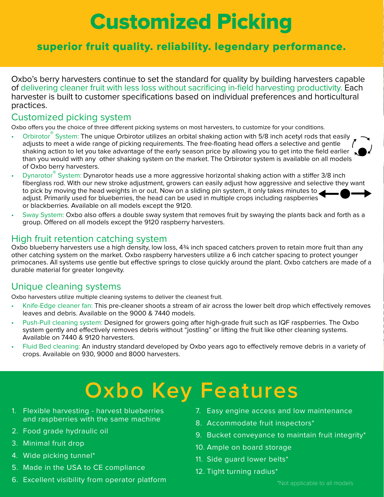## Customized Picking

### superior fruit quality. reliability. legendary performance.

Oxbo's berry harvesters continue to set the standard for quality by building harvesters capable of delivering cleaner fruit with less loss without sacrificing in-field harvesting productivity. Each harvester is built to customer specifications based on individual preferences and horticultural practices.

#### Customized picking system

Oxbo offers you the choice of three different picking systems on most harvesters, to customize for your conditions.

- Orbirotor® System: The unique Orbirotor utilizes an orbital shaking action with 5/8 inch acetyl rods that easily adjusts to meet a wide range of picking requirements. The free-floating head offers a selective and gentle shaking action to let you take advantage of the early season price by allowing you to get into the field earlier than you would with any other shaking system on the market. The Orbirotor system is available on all models of Oxbo berry harvesters.
- Dynarotor® System: Dynarotor heads use a more aggressive horizontal shaking action with a stiffer 3/8 inch fiberglass rod. With our new stroke adjustment, growers can easily adjust how aggressive and selective they want to pick by moving the head weights in or out. Now on a sliding pin system, it only takes minutes to adjust. Primarily used for blueberries, the head can be used in multiple crops including raspberries or blackberries. Available on all models except the 9120.
- Sway System: Oxbo also offers a double sway system that removes fruit by swaying the plants back and forth as a group. Offered on all models except the 9120 raspberry harvesters.

#### High fruit retention catching system

Oxbo blueberry harvesters use a high density, low loss, 4<sup>3</sup>/4 inch spaced catchers proven to retain more fruit than any other catching system on the market. Oxbo raspberry harvesters utilize a 6 inch catcher spacing to protect younger primocanes. All systems use gentle but effective springs to close quickly around the plant. Oxbo catchers are made of a durable material for greater longevity.

### Unique cleaning systems

Oxbo harvesters utilize multiple cleaning systems to deliver the cleanest fruit.

- Knife-Edge cleaner fan: This pre-cleaner shoots a stream of air across the lower belt drop which effectively removes leaves and debris. Available on the 9000 & 7440 models.
- Push-Pull cleaning system: Designed for growers going after high-grade fruit such as IQF raspberries. The Oxbo system gently and effectively removes debris without "jostling" or lifting the fruit like other cleaning systems. Available on 7440 & 9120 harvesters.
- Fluid Bed cleaning: An industry standard developed by Oxbo years ago to effectively remove debris in a variety of crops. Available on 930, 9000 and 8000 harvesters.

# **Oxbo Key Features**

- 1. Flexible harvesting harvest blueberries and raspberries with the same machine
- 2. Food grade hydraulic oil
- 3. Minimal fruit drop
- 4. Wide picking tunnel\*
- 5. Made in the USA to CE compliance
- 6. Excellent visibility from operator platform
- 7. Easy engine access and low maintenance
- 8. Accommodate fruit inspectors\*
- 9. Bucket conveyance to maintain fruit integrity\*
- 10. Ample on board storage
- 11. Side guard lower belts\*
- 12. Tight turning radius\*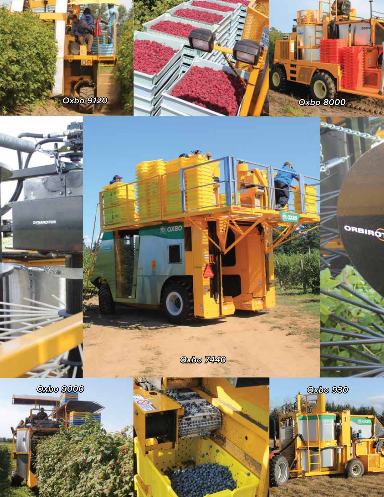

**Oxbo 7440**

 $\sim$   $\sim$ 

**Z OXBO** 

**Oxbo 9000**





**Oxbo 930**

**Oxbo 8000**

 $\epsilon_{\rm K,0}$ 

ORBIRO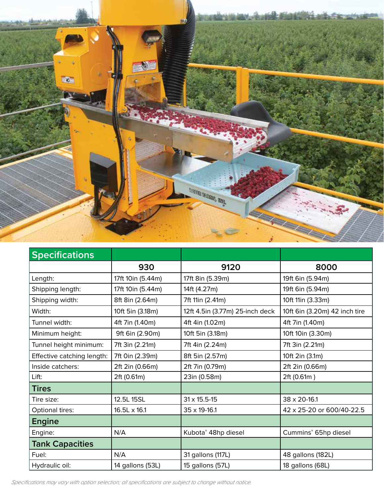

| <b>Specifications</b>      |                   |                                 |                               |
|----------------------------|-------------------|---------------------------------|-------------------------------|
|                            | 930               | 9120                            | 8000                          |
| Length:                    | 17ft 10in (5.44m) | 17ft 8in (5.39m)                | 19ft 6in (5.94m)              |
| Shipping length:           | 17ft 10in (5.44m) | 14ft (4.27m)                    | 19ft 6in (5.94m)              |
| Shipping width:            | 8ft 8in (2.64m)   | 7ft 11in (2.41m)                | 10ft 11in (3.33m)             |
| Width:                     | 10ft 5in (3.18m)  | 12ft 4.5in (3.77m) 25-inch deck | 10ft 6in (3.20m) 42 inch tire |
| Tunnel width:              | 4ft 7in (1.40m)   | 4ft 4in (1.02m)                 | 4ft 7in (1.40m)               |
| Minimum height:            | 9ft 6in (2.90m)   | 10ft 5in (3.18m)                | 10ft 10in (3.30m)             |
| Tunnel height minimum:     | 7ft 3in (2.21m)   | 7ft 4in (2.24m)                 | 7ft 3in (2.21m)               |
| Effective catching length: | 7ft 0in (2.39m)   | 8ft 5in (2.57m)                 | 10ft 2in (3.1m)               |
| Inside catchers:           | 2ft 2in (0.66m)   | 2ft 7in (0.79m)                 | 2ft 2in (0.66m)               |
| Lift:                      | 2ft (0.61m)       | 23in (0.58m)                    | 2ft (0.61m)                   |
| <b>Tires</b>               |                   |                                 |                               |
| Tire size:                 | 12.5L 15SL        | $31 \times 15.5 - 15$           | 38 x 20-16.1                  |
| Optional tires:            | 16.5L x 16.1      | 35 x 19-16.1                    | 42 x 25-20 or 600/40-22.5     |
| <b>Engine</b>              |                   |                                 |                               |
| Engine:                    | N/A               | Kubota® 48hp diesel             | Cummins® 65hp diesel          |
| <b>Tank Capacities</b>     |                   |                                 |                               |
| Fuel:                      | N/A               | 31 gallons (117L)               | 48 gallons (182L)             |
| Hydraulic oil:             | 14 gallons (53L)  | 15 gallons (57L)                | 18 gallons (68L)              |

*Specifications may vary with option selection; all specifications are subject to change without notice.*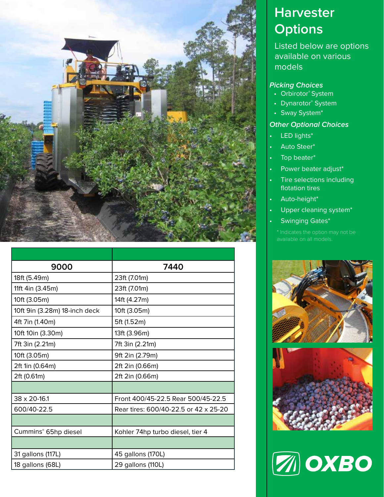

| 9000                          | 7440                                  |  |
|-------------------------------|---------------------------------------|--|
| 18ft (5.49m)                  | 23ft (7.01m)                          |  |
| 11ft 4in (3.45m)              | 23ft (7.01m)                          |  |
| 10ft (3.05m)                  | 14ft (4.27m)                          |  |
| 10ft 9in (3.28m) 18-inch deck | 10ft (3.05m)                          |  |
| 4ft 7in (1.40m)               | 5ft (1.52m)                           |  |
| 10ft 10in (3.30m)             | 13ft (3.96m)                          |  |
| 7ft 3in (2.21m)               | 7ft 3in (2.21m)                       |  |
| 10ft (3.05m)                  | 9ft 2in (2.79m)                       |  |
| 2ft 1in (0.64m)               | 2ft 2in (0.66m)                       |  |
| 2ft (0.61m)                   | 2ft 2in (0.66m)                       |  |
|                               |                                       |  |
| 38 x 20-16.1                  | Front 400/45-22.5 Rear 500/45-22.5    |  |
| 600/40-22.5                   | Rear tires: 600/40-22.5 or 42 x 25-20 |  |
|                               |                                       |  |
| Cummins® 65hp diesel          | Kohler 74hp turbo diesel, tier 4      |  |
|                               |                                       |  |
| 31 gallons (117L)             | 45 gallons (170L)                     |  |
| 18 gallons (68L)              | 29 gallons (110L)                     |  |

### **Harvester Options**

Listed below are options available on various models

#### **Picking Choices**

- Orbirotor® System
- Dynarotor® System
- Sway System\*

#### **Other Optional Choices**

- LED lights\*
- Auto Steer\*
- Top beater\*
- Power beater adjust\*
- Tire selections including flotation tires
- Auto-height\*
- Upper cleaning system\*
- Swinging Gates\*

available on all models.